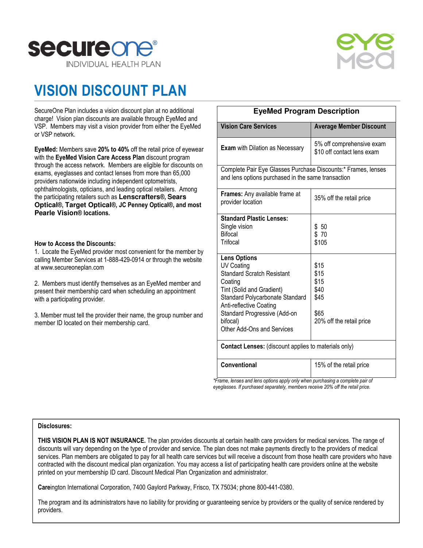



## VISION DISCOUNT PLAN

SecureOne Plan includes a vision discount plan at no additional charge! Vision plan discounts are available through EyeMed and VSP. Members may visit a vision provider from either the EyeMed or VSP network.

EyeMed: Members save 20% to 40% off the retail price of eyewear with the EyeMed Vision Care Access Plan discount program through the access network. Members are eligible for discounts on exams, eyeglasses and contact lenses from more than 65,000 providers nationwide including independent optometrists, ophthalmologists, opticians, and leading optical retailers. Among the participating retailers such as **Lenscrafters**®, **Sears Optical**®, **Target Optical**®, JC Penney Optical®, and most **Pearle Vision**® locations.

### How to Access the Discounts:

1. Locate the EyeMed provider most convenient for the member by calling Member Services at 1-888-429-0914 or through the website at www.secureoneplan.com

2. Members must identify themselves as an EyeMed member and present their membership card when scheduling an appointment with a participating provider.

3. Member must tell the provider their name, the group number and member ID located on their membership card.

| <b>EyeMed Program Description</b>                                                                                                                                                                                                                             |                                                                          |  |
|---------------------------------------------------------------------------------------------------------------------------------------------------------------------------------------------------------------------------------------------------------------|--------------------------------------------------------------------------|--|
| <b>Vision Care Services</b>                                                                                                                                                                                                                                   | <b>Average Member Discount</b>                                           |  |
| <b>Exam</b> with Dilation as Necessary                                                                                                                                                                                                                        | 5% off comprehensive exam<br>\$10 off contact lens exam                  |  |
| Complete Pair Eye Glasses Purchase Discounts:* Frames, lenses<br>and lens options purchased in the same transaction                                                                                                                                           |                                                                          |  |
| Frames: Any available frame at<br>provider location                                                                                                                                                                                                           | 35% off the retail price                                                 |  |
| <b>Standard Plastic Lenses:</b><br>Single vision<br><b>Bifocal</b><br>Trifocal                                                                                                                                                                                | \$50<br>\$ 70<br>\$105                                                   |  |
| <b>Lens Options</b><br><b>UV Coating</b><br><b>Standard Scratch Resistant</b><br>Coating<br>Tint (Solid and Gradient)<br>Standard Polycarbonate Standard<br>Anti-reflective Coating<br>Standard Progressive (Add-on<br>bifocal)<br>Other Add-Ons and Services | \$15<br>\$15<br>\$15<br>\$40<br>\$45<br>\$65<br>20% off the retail price |  |
| <b>Contact Lenses:</b> (discount applies to materials only)                                                                                                                                                                                                   |                                                                          |  |
| Conventional                                                                                                                                                                                                                                                  | 15% of the retail price                                                  |  |

\*Frame, lenses and lens options apply only when purchasing a complete pair of eyeglasses. If purchased separately, members receive 20% off the retail price.

## Disclosures:

THIS VISION PLAN IS NOT INSURANCE. The plan provides discounts at certain health care providers for medical services. The range of discounts will vary depending on the type of provider and service. The plan does not make payments directly to the providers of medical services. Plan members are obligated to pay for all health care services but will receive a discount from those health care providers who have contracted with the discount medical plan organization. You may access a list of participating health care providers online at the website printed on your membership ID card. Discount Medical Plan Organization and administrator.

Careington International Corporation, 7400 Gaylord Parkway, Frisco, TX 75034; phone 800-441-0380.

The program and its administrators have no liability for providing or guaranteeing service by providers or the quality of service rendered by providers.